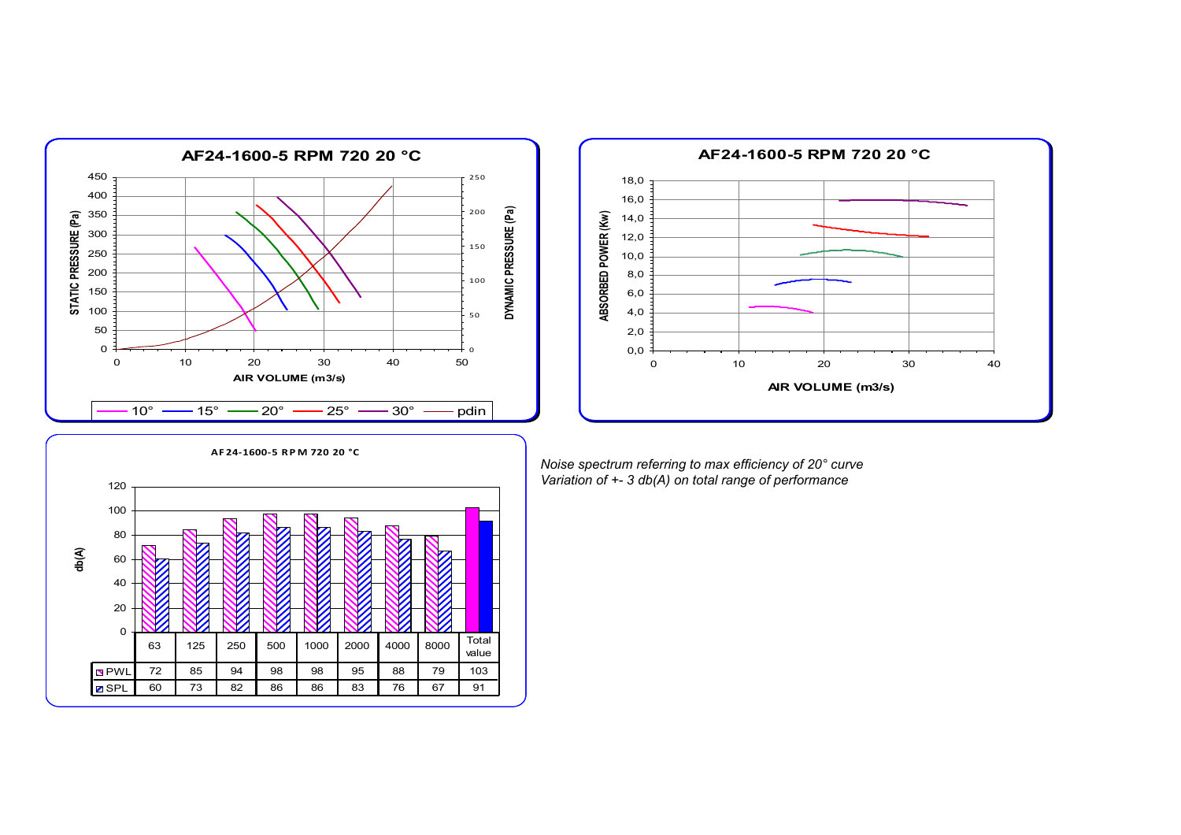



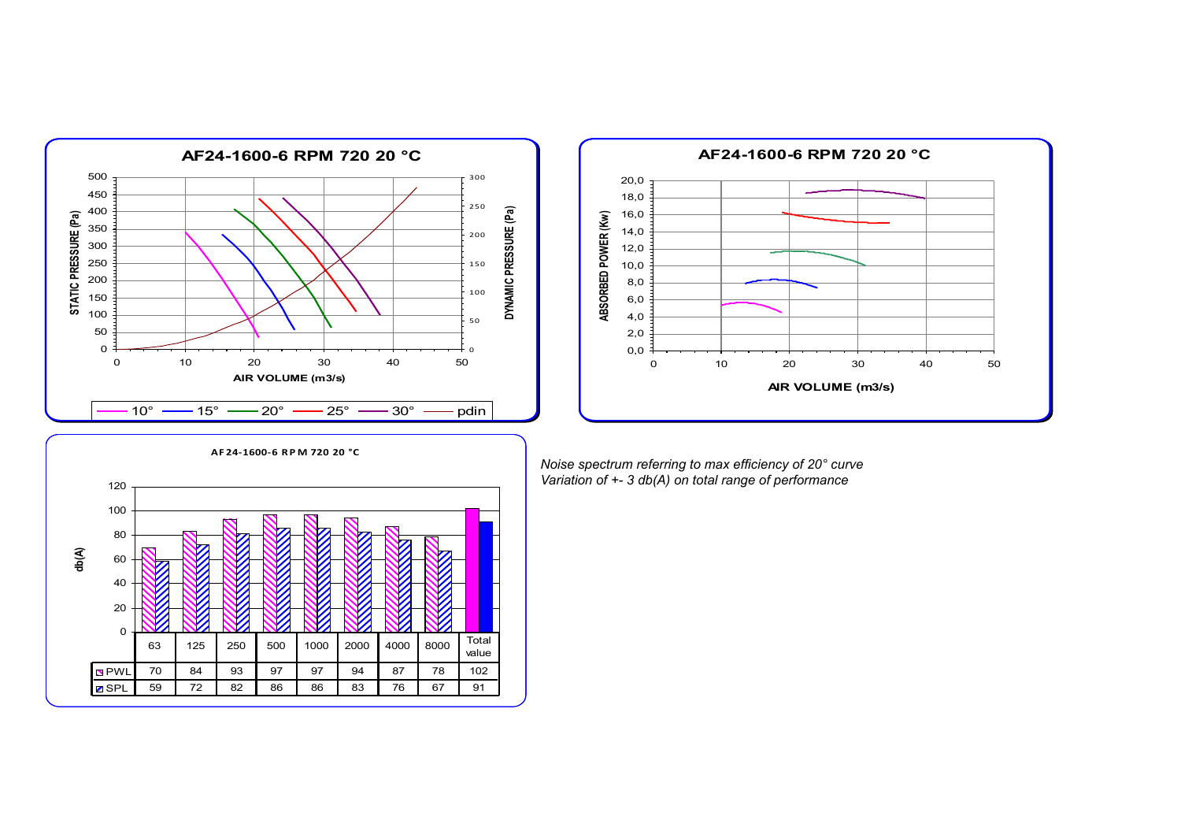



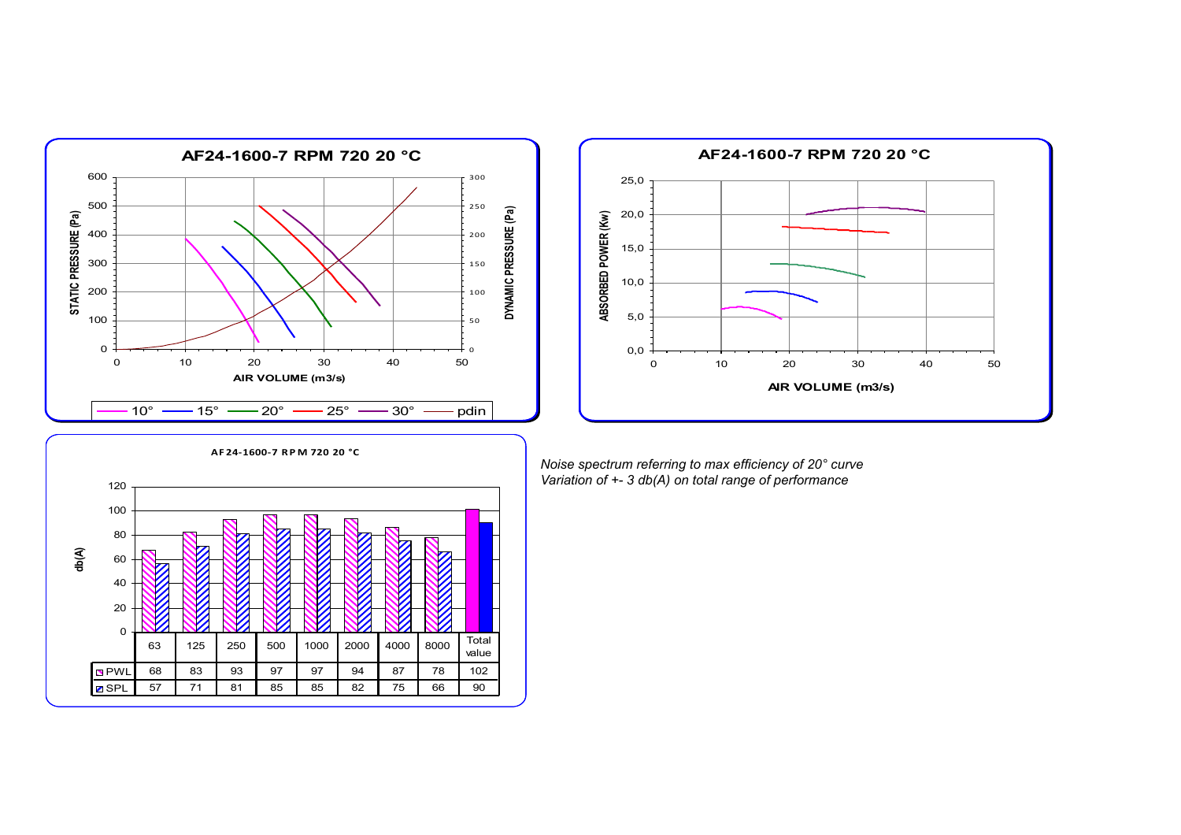



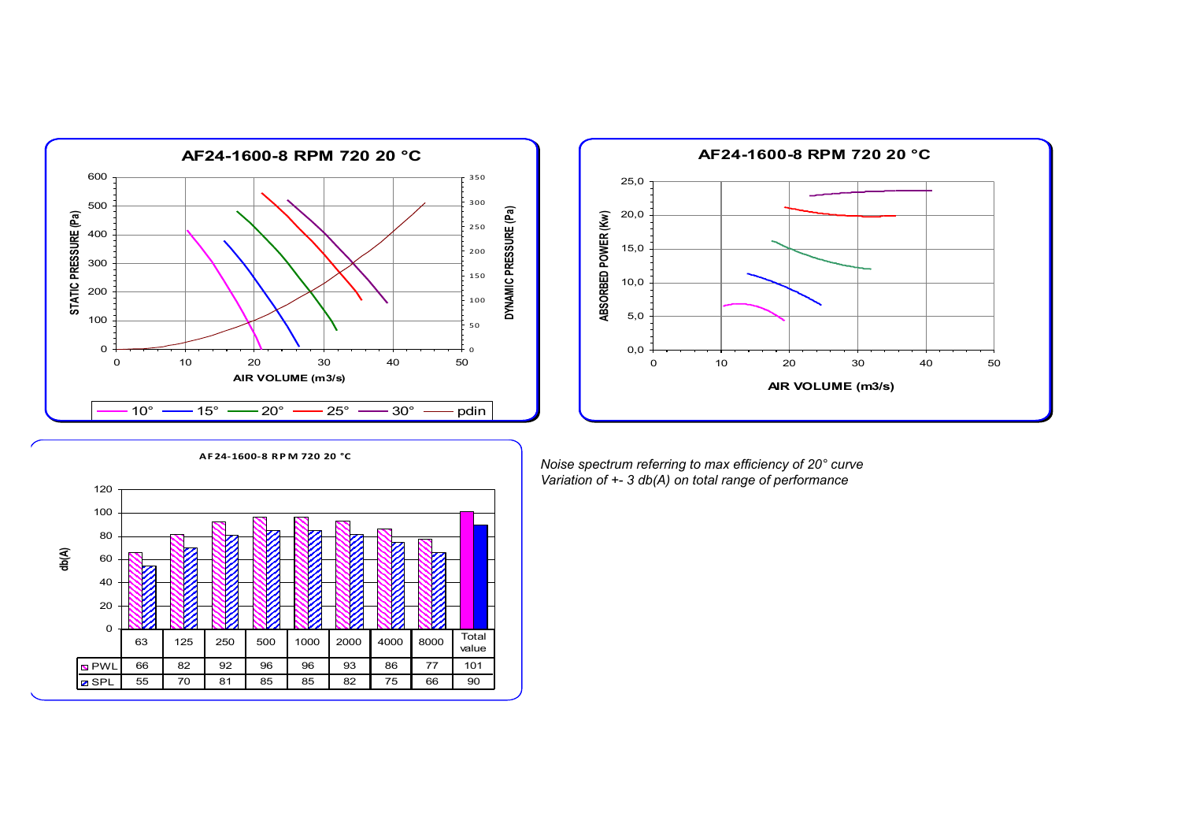



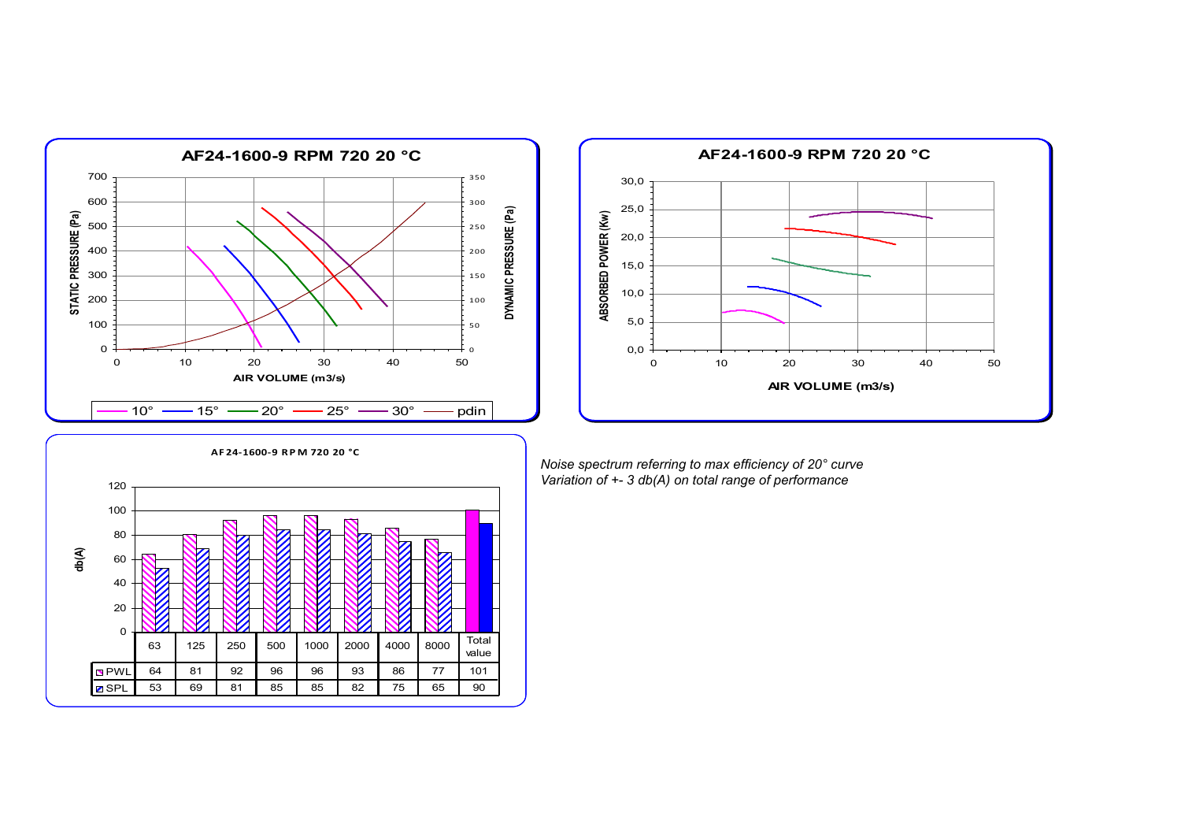



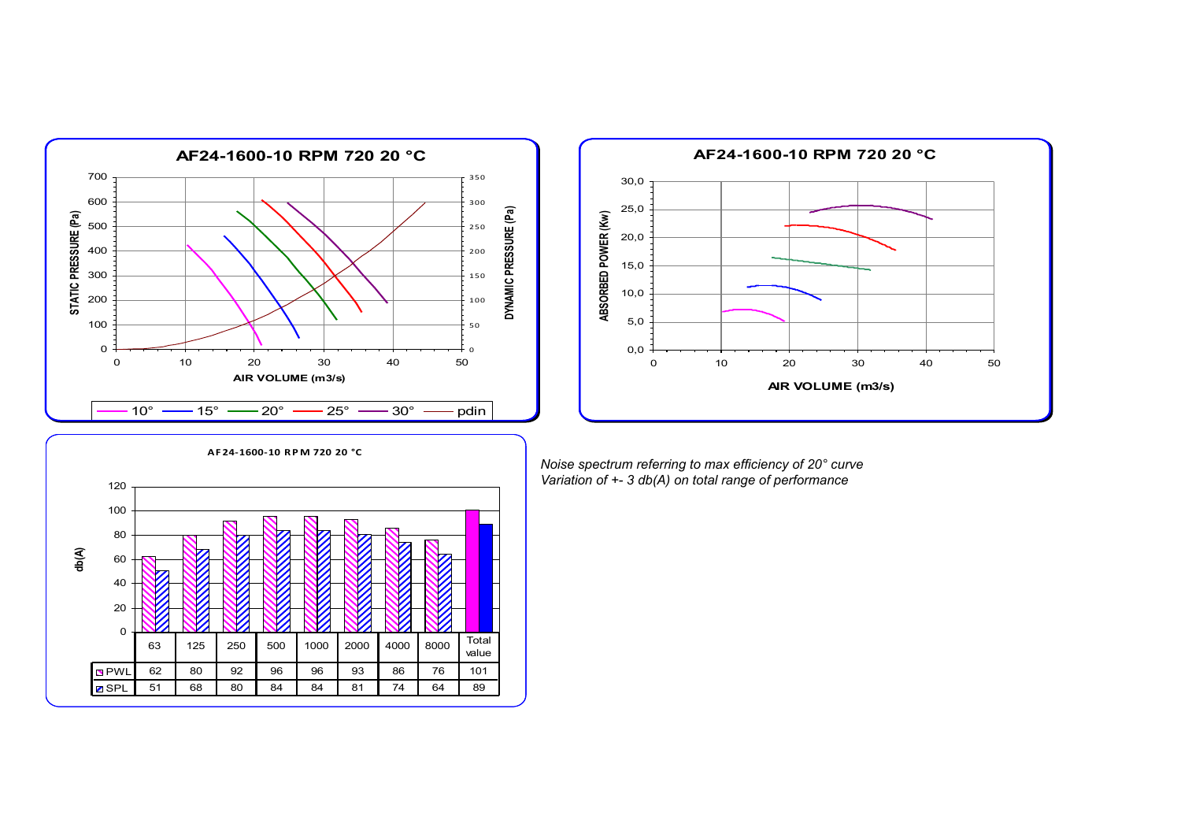